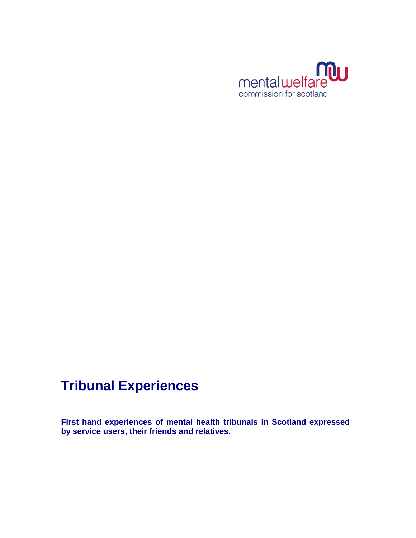

# **Tribunal Experiences**

**First hand experiences of mental health tribunals in Scotland expressed by service users, their friends and relatives.**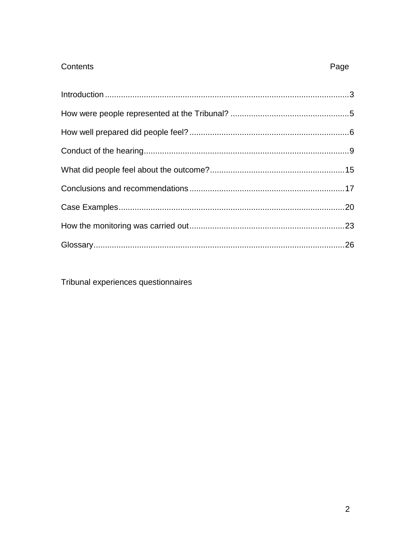# Contents

Tribunal experiences questionnaires

Page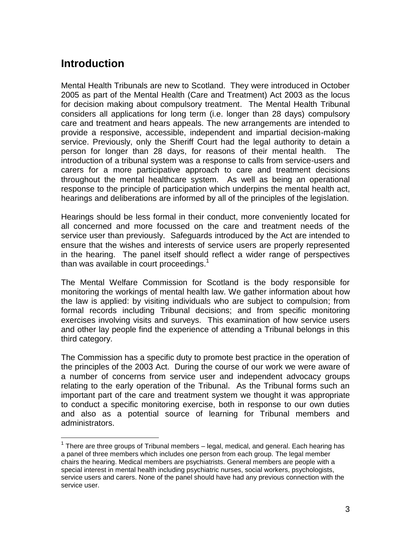# <span id="page-2-0"></span>**Introduction**

l

Mental Health Tribunals are new to Scotland. They were introduced in October 2005 as part of the Mental Health (Care and Treatment) Act 2003 as the locus for decision making about compulsory treatment. The Mental Health Tribunal considers all applications for long term (i.e. longer than 28 days) compulsory care and treatment and hears appeals. The new arrangements are intended to provide a responsive, accessible, independent and impartial decision-making service. Previously, only the Sheriff Court had the legal authority to detain a person for longer than 28 days, for reasons of their mental health. The introduction of a tribunal system was a response to calls from service-users and carers for a more participative approach to care and treatment decisions throughout the mental healthcare system. As well as being an operational response to the principle of participation which underpins the mental health act, hearings and deliberations are informed by all of the principles of the legislation.

Hearings should be less formal in their conduct, more conveniently located for all concerned and more focussed on the care and treatment needs of the service user than previously. Safeguards introduced by the Act are intended to ensure that the wishes and interests of service users are properly represented in the hearing. The panel itself should reflect a wider range of perspectives than was available in court proceedings.<sup>1</sup>

The Mental Welfare Commission for Scotland is the body responsible for monitoring the workings of mental health law. We gather information about how the law is applied: by visiting individuals who are subject to compulsion; from formal records including Tribunal decisions; and from specific monitoring exercises involving visits and surveys. This examination of how service users and other lay people find the experience of attending a Tribunal belongs in this third category.

The Commission has a specific duty to promote best practice in the operation of the principles of the 2003 Act. During the course of our work we were aware of a number of concerns from service user and independent advocacy groups relating to the early operation of the Tribunal. As the Tribunal forms such an important part of the care and treatment system we thought it was appropriate to conduct a specific monitoring exercise, both in response to our own duties and also as a potential source of learning for Tribunal members and administrators.

 $1$  There are three groups of Tribunal members  $-$  legal, medical, and general. Each hearing has a panel of three members which includes one person from each group. The legal member chairs the hearing. Medical members are psychiatrists. General members are people with a special interest in mental health including psychiatric nurses, social workers, psychologists, service users and carers. None of the panel should have had any previous connection with the service user.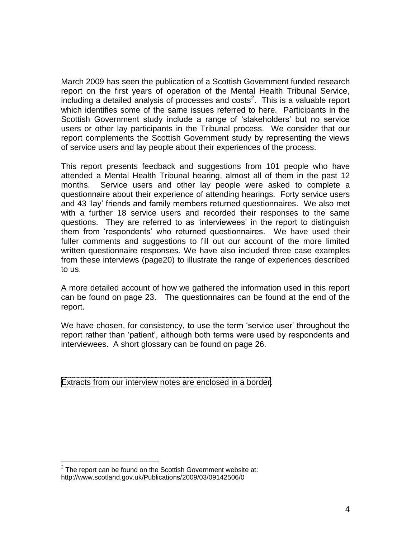March 2009 has seen the publication of a Scottish Government funded research report on the first years of operation of the Mental Health Tribunal Service, including a detailed analysis of processes and costs<sup>2</sup>. This is a valuable report which identifies some of the same issues referred to here. Participants in the Scottish Government study include a range of "stakeholders" but no service users or other lay participants in the Tribunal process. We consider that our report complements the Scottish Government study by representing the views of service users and lay people about their experiences of the process.

This report presents feedback and suggestions from 101 people who have attended a Mental Health Tribunal hearing, almost all of them in the past 12 months. Service users and other lay people were asked to complete a questionnaire about their experience of attending hearings. Forty service users and 43 "lay" friends and family members returned questionnaires. We also met with a further 18 service users and recorded their responses to the same questions. They are referred to as "interviewees" in the report to distinguish them from "respondents" who returned questionnaires. We have used their fuller comments and suggestions to fill out our account of the more limited written questionnaire responses. We have also included three case examples from these interviews (pag[e20\)](#page-19-0) to illustrate the range of experiences described to us.

A more detailed account of how we gathered the information used in this report can be found on page [23.](#page-21-0) The questionnaires can be found at the end of the report.

We have chosen, for consistency, to use the term 'service user' throughout the report rather than "patient", although both terms were used by respondents and interviewees. A short glossary can be found on page [26.](#page-25-0)

Extracts from our interview notes are enclosed in a border.

l

 $2$  The report can be found on the Scottish Government website at: http://www.scotland.gov.uk/Publications/2009/03/09142506/0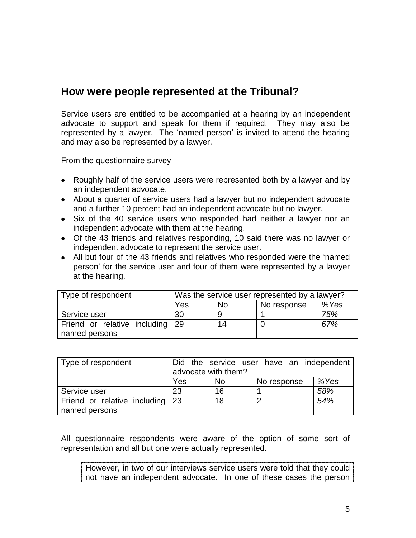# <span id="page-4-0"></span>**How were people represented at the Tribunal?**

Service users are entitled to be accompanied at a hearing by an independent advocate to support and speak for them if required. They may also be represented by a lawyer. The 'named person' is invited to attend the hearing and may also be represented by a lawyer.

From the questionnaire survey

- Roughly half of the service users were represented both by a lawyer and by an independent advocate.
- About a quarter of service users had a lawyer but no independent advocate and a further 10 percent had an independent advocate but no lawyer.
- Six of the 40 service users who responded had neither a lawyer nor an independent advocate with them at the hearing.
- Of the 43 friends and relatives responding, 10 said there was no lawyer or independent advocate to represent the service user.
- All but four of the 43 friends and relatives who responded were the "named person" for the service user and four of them were represented by a lawyer at the hearing.

| Type of respondent              | Was the service user represented by a lawyer? |    |  |      |
|---------------------------------|-----------------------------------------------|----|--|------|
|                                 | Yes<br><b>No</b><br>No response               |    |  | %Yes |
| Service user                    | 30                                            |    |  | 75%  |
| Friend or relative including 29 |                                               | 14 |  | 67%  |
| named persons                   |                                               |    |  |      |

| Type of respondent              |                     |           | Did the service user have an independent |      |
|---------------------------------|---------------------|-----------|------------------------------------------|------|
|                                 | advocate with them? |           |                                          |      |
|                                 | Yes                 | <b>No</b> | No response                              | %Yes |
| Service user                    | 23                  | 16        |                                          | 58%  |
| Friend or relative including 23 |                     | 18        | ົ                                        | 54%  |
| named persons                   |                     |           |                                          |      |

All questionnaire respondents were aware of the option of some sort of representation and all but one were actually represented.

However, in two of our interviews service users were told that they could not have an independent advocate. In one of these cases the person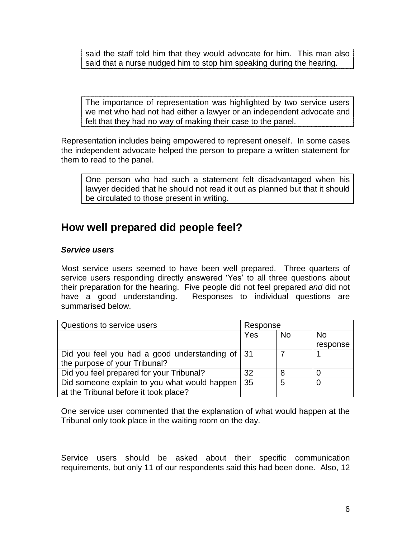said the staff told him that they would advocate for him. This man also said that a nurse nudged him to stop him speaking during the hearing.

The importance of representation was highlighted by two service users we met who had not had either a lawyer or an independent advocate and felt that they had no way of making their case to the panel.

Representation includes being empowered to represent oneself. In some cases the independent advocate helped the person to prepare a written statement for them to read to the panel.

One person who had such a statement felt disadvantaged when his lawyer decided that he should not read it out as planned but that it should be circulated to those present in writing.

# <span id="page-5-0"></span>**How well prepared did people feel?**

### *Service users*

Most service users seemed to have been well prepared. Three quarters of service users responding directly answered "Yes" to all three questions about their preparation for the hearing. Five people did not feel prepared *and* did not have a good understanding. Responses to individual questions are summarised below.

| Questions to service users                      | Response |           |           |
|-------------------------------------------------|----------|-----------|-----------|
|                                                 | Yes      | <b>No</b> | <b>No</b> |
|                                                 |          |           | response  |
| Did you feel you had a good understanding of 31 |          |           |           |
| the purpose of your Tribunal?                   |          |           |           |
| Did you feel prepared for your Tribunal?        | 32       | 8         |           |
| Did someone explain to you what would happen    | 35       | 5         |           |
| at the Tribunal before it took place?           |          |           |           |

One service user commented that the explanation of what would happen at the Tribunal only took place in the waiting room on the day.

Service users should be asked about their specific communication requirements, but only 11 of our respondents said this had been done. Also, 12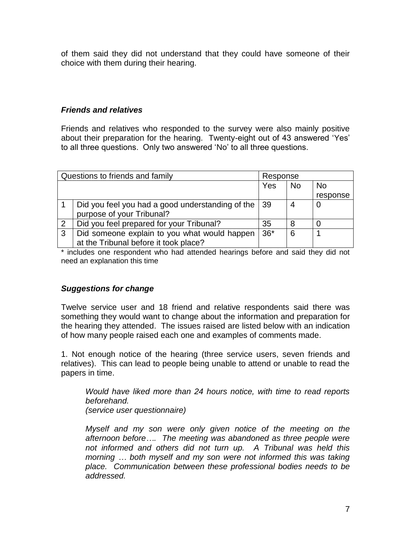of them said they did not understand that they could have someone of their choice with them during their hearing.

### *Friends and relatives*

Friends and relatives who responded to the survey were also mainly positive about their preparation for the hearing. Twenty-eight out of 43 answered "Yes" to all three questions. Only two answered "No" to all three questions.

| Questions to friends and family<br>Response |                                                       |       |           |           |
|---------------------------------------------|-------------------------------------------------------|-------|-----------|-----------|
|                                             |                                                       | Yes   | <b>No</b> | <b>No</b> |
|                                             |                                                       |       |           | response  |
|                                             | Did you feel you had a good understanding of the   39 |       |           |           |
|                                             | purpose of your Tribunal?                             |       |           |           |
| 2                                           | Did you feel prepared for your Tribunal?              | 35    |           |           |
| 3                                           | Did someone explain to you what would happen          | $36*$ | 6         |           |
|                                             | at the Tribunal before it took place?                 |       |           |           |

\* includes one respondent who had attended hearings before and said they did not need an explanation this time

# *Suggestions for change*

Twelve service user and 18 friend and relative respondents said there was something they would want to change about the information and preparation for the hearing they attended. The issues raised are listed below with an indication of how many people raised each one and examples of comments made.

1. Not enough notice of the hearing (three service users, seven friends and relatives). This can lead to people being unable to attend or unable to read the papers in time.

*Would have liked more than 24 hours notice, with time to read reports beforehand.*

*(service user questionnaire)*

*Myself and my son were only given notice of the meeting on the afternoon before…. The meeting was abandoned as three people were not informed and others did not turn up. A Tribunal was held this morning … both myself and my son were not informed this was taking place. Communication between these professional bodies needs to be addressed.*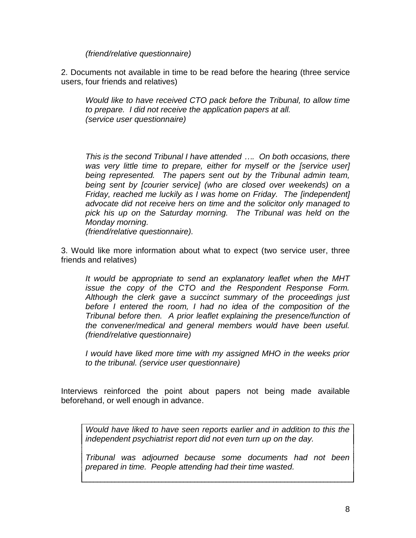*(friend/relative questionnaire)*

2. Documents not available in time to be read before the hearing (three service users, four friends and relatives)

*Would like to have received CTO pack before the Tribunal, to allow time to prepare. I did not receive the application papers at all. (service user questionnaire)*

*This is the second Tribunal I have attended …. On both occasions, there was very little time to prepare, either for myself or the [service user] being represented. The papers sent out by the Tribunal admin team, being sent by [courier service] (who are closed over weekends) on a Friday, reached me luckily as I was home on Friday. The [independent] advocate did not receive hers on time and the solicitor only managed to pick his up on the Saturday morning. The Tribunal was held on the Monday morning.*

*(friend/relative questionnaire).*

3. Would like more information about what to expect (two service user, three friends and relatives)

*It would be appropriate to send an explanatory leaflet when the MHT issue the copy of the CTO and the Respondent Response Form. Although the clerk gave a succinct summary of the proceedings just before I entered the room, I had no idea of the composition of the Tribunal before then. A prior leaflet explaining the presence/function of the convener/medical and general members would have been useful. (friend/relative questionnaire)*

*I would have liked more time with my assigned MHO in the weeks prior to the tribunal. (service user questionnaire)*

Interviews reinforced the point about papers not being made available beforehand, or well enough in advance.

*Would have liked to have seen reports earlier and in addition to this the independent psychiatrist report did not even turn up on the day.* 

*Tribunal was adjourned because some documents had not been prepared in time. People attending had their time wasted.*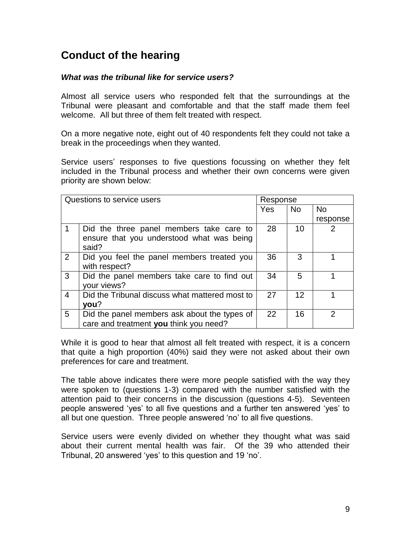# <span id="page-8-0"></span>**Conduct of the hearing**

### *What was the tribunal like for service users?*

Almost all service users who responded felt that the surroundings at the Tribunal were pleasant and comfortable and that the staff made them feel welcome. All but three of them felt treated with respect.

On a more negative note, eight out of 40 respondents felt they could not take a break in the proceedings when they wanted.

Service users' responses to five questions focussing on whether they felt included in the Tribunal process and whether their own concerns were given priority are shown below:

| Questions to service users |                                                                                                |     | Response          |           |  |
|----------------------------|------------------------------------------------------------------------------------------------|-----|-------------------|-----------|--|
|                            |                                                                                                | Yes | <b>No</b>         | <b>No</b> |  |
|                            |                                                                                                |     |                   | response  |  |
| $\mathbf 1$                | Did the three panel members take care to<br>ensure that you understood what was being<br>said? | 28  | 10                |           |  |
| 2                          | Did you feel the panel members treated you<br>with respect?                                    | 36  | 3                 |           |  |
| $\mathbf{3}$               | Did the panel members take care to find out<br>your views?                                     | 34  | 5                 |           |  |
| $\overline{4}$             | Did the Tribunal discuss what mattered most to<br>you?                                         | 27  | $12 \overline{ }$ |           |  |
| $5\overline{)}$            | Did the panel members ask about the types of<br>care and treatment you think you need?         | 22  | 16                | っ         |  |

While it is good to hear that almost all felt treated with respect, it is a concern that quite a high proportion (40%) said they were not asked about their own preferences for care and treatment.

The table above indicates there were more people satisfied with the way they were spoken to (questions 1-3) compared with the number satisfied with the attention paid to their concerns in the discussion (questions 4-5). Seventeen people answered "yes" to all five questions and a further ten answered "yes" to all but one question. Three people answered "no" to all five questions.

Service users were evenly divided on whether they thought what was said about their current mental health was fair. Of the 39 who attended their Tribunal, 20 answered 'yes' to this question and 19 'no'.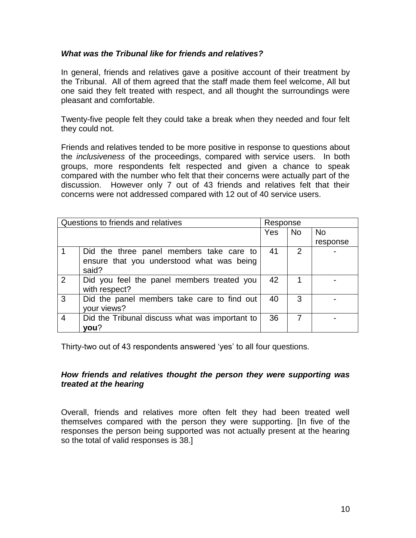### *What was the Tribunal like for friends and relatives?*

In general, friends and relatives gave a positive account of their treatment by the Tribunal. All of them agreed that the staff made them feel welcome, All but one said they felt treated with respect, and all thought the surroundings were pleasant and comfortable.

Twenty-five people felt they could take a break when they needed and four felt they could not.

Friends and relatives tended to be more positive in response to questions about the *inclusiveness* of the proceedings, compared with service users. In both groups, more respondents felt respected and given a chance to speak compared with the number who felt that their concerns were actually part of the discussion. However only 7 out of 43 friends and relatives felt that their concerns were not addressed compared with 12 out of 40 service users.

|                | Questions to friends and relatives             |     | Response      |           |
|----------------|------------------------------------------------|-----|---------------|-----------|
|                |                                                | Yes | <b>No</b>     | <b>No</b> |
|                |                                                |     |               | response  |
|                | Did the three panel members take care to       | 41  | $\mathcal{P}$ |           |
|                | ensure that you understood what was being      |     |               |           |
|                | said?                                          |     |               |           |
| 2              | Did you feel the panel members treated you     | 42  |               |           |
|                | with respect?                                  |     |               |           |
| $\overline{3}$ | Did the panel members take care to find out    | 40  | 3             |           |
|                | your views?                                    |     |               |           |
| $\overline{4}$ | Did the Tribunal discuss what was important to | 36  |               |           |
|                | you?                                           |     |               |           |

Thirty-two out of 43 respondents answered 'yes' to all four questions.

### *How friends and relatives thought the person they were supporting was treated at the hearing*

Overall, friends and relatives more often felt they had been treated well themselves compared with the person they were supporting. [In five of the responses the person being supported was not actually present at the hearing so the total of valid responses is 38.]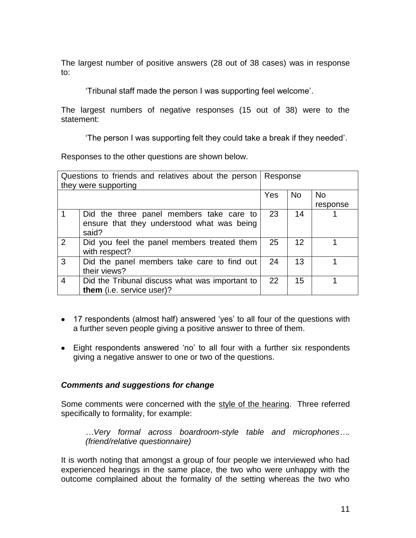The largest number of positive answers (28 out of 38 cases) was in response to:

"Tribunal staff made the person I was supporting feel welcome".

The largest numbers of negative responses (15 out of 38) were to the statement:

"The person I was supporting felt they could take a break if they needed".

Responses to the other questions are shown below.

|   | Questions to friends and relatives about the person<br>they were supporting | Response |                |           |
|---|-----------------------------------------------------------------------------|----------|----------------|-----------|
|   |                                                                             | Yes      | N <sub>o</sub> | <b>No</b> |
|   |                                                                             |          |                | response  |
|   | Did the three panel members take care to                                    | 23       | 14             |           |
|   | ensure that they understood what was being<br>said?                         |          |                |           |
| 2 | Did you feel the panel members treated them<br>with respect?                | 25       | 12             |           |
| 3 | Did the panel members take care to find out<br>their views?                 | 24       | 13             |           |
| 4 | Did the Tribunal discuss what was important to<br>them (i.e. service user)? | 22       | 15             |           |

- 17 respondents (almost half) answered 'yes' to all four of the questions with a further seven people giving a positive answer to three of them.
- Eight respondents answered 'no' to all four with a further six respondents giving a negative answer to one or two of the questions.

### *Comments and suggestions for change*

Some comments were concerned with the style of the hearing. Three referred specifically to formality, for example:

*…Very formal across boardroom-style table and microphones…. (friend/relative questionnaire)*

It is worth noting that amongst a group of four people we interviewed who had experienced hearings in the same place, the two who were unhappy with the outcome complained about the formality of the setting whereas the two who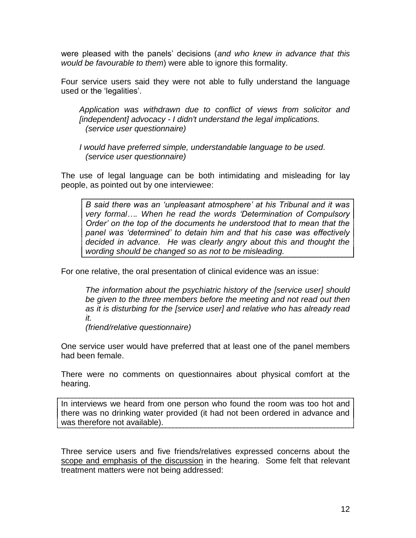were pleased with the panels" decisions (*and who knew in advance that this would be favourable to them*) were able to ignore this formality.

Four service users said they were not able to fully understand the language used or the 'legalities'.

*Application was withdrawn due to conflict of views from solicitor and [independent] advocacy - I didn't understand the legal implications. (service user questionnaire)*

*I would have preferred simple, understandable language to be used. (service user questionnaire)*

The use of legal language can be both intimidating and misleading for lay people, as pointed out by one interviewee:

*B said there was an 'unpleasant atmosphere' at his Tribunal and it was very formal…. When he read the words 'Determination of Compulsory Order' on the top of the documents he understood that to mean that the panel was 'determined' to detain him and that his case was effectively decided in advance. He was clearly angry about this and thought the wording should be changed so as not to be misleading.*

For one relative, the oral presentation of clinical evidence was an issue:

*The information about the psychiatric history of the [service user] should be given to the three members before the meeting and not read out then as it is disturbing for the [service user] and relative who has already read it.* 

*(friend/relative questionnaire)*

One service user would have preferred that at least one of the panel members had been female.

There were no comments on questionnaires about physical comfort at the hearing.

In interviews we heard from one person who found the room was too hot and there was no drinking water provided (it had not been ordered in advance and was therefore not available).

Three service users and five friends/relatives expressed concerns about the scope and emphasis of the discussion in the hearing. Some felt that relevant treatment matters were not being addressed: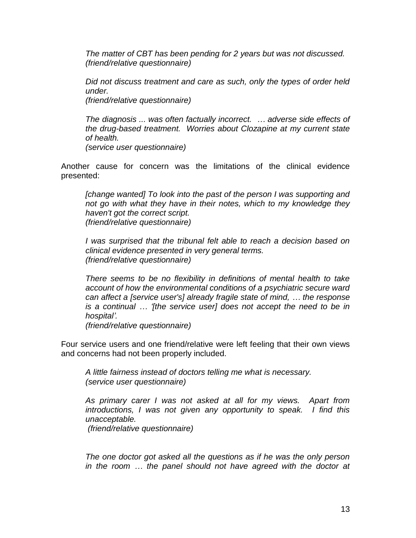*The matter of CBT has been pending for 2 years but was not discussed. (friend/relative questionnaire)*

*Did not discuss treatment and care as such, only the types of order held under.*

*(friend/relative questionnaire)*

*The diagnosis ... was often factually incorrect. … adverse side effects of the drug-based treatment. Worries about Clozapine at my current state of health.*

*(service user questionnaire)*

Another cause for concern was the limitations of the clinical evidence presented:

*[change wanted] To look into the past of the person I was supporting and not go with what they have in their notes, which to my knowledge they haven't got the correct script. (friend/relative questionnaire)*

*I* was surprised that the tribunal felt able to reach a decision based on *clinical evidence presented in very general terms. (friend/relative questionnaire)*

*There seems to be no flexibility in definitions of mental health to take account of how the environmental conditions of a psychiatric secure ward can affect a [service user's] already fragile state of mind, … the response is a continual … '[the service user] does not accept the need to be in hospital'.* 

*(friend/relative questionnaire)*

Four service users and one friend/relative were left feeling that their own views and concerns had not been properly included.

*A little fairness instead of doctors telling me what is necessary. (service user questionnaire)*

*As primary carer I was not asked at all for my views. Apart from introductions, I was not given any opportunity to speak. I find this unacceptable.*

*(friend/relative questionnaire)*

*The one doctor got asked all the questions as if he was the only person in the room … the panel should not have agreed with the doctor at*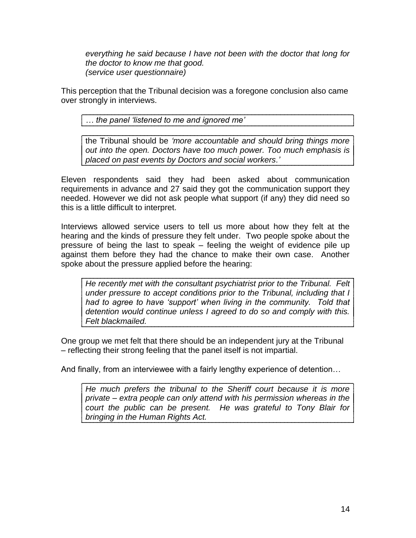*everything he said because I have not been with the doctor that long for the doctor to know me that good. (service user questionnaire)*

This perception that the Tribunal decision was a foregone conclusion also came over strongly in interviews.

*… the panel 'listened to me and ignored me'*

the Tribunal should be *'more accountable and should bring things more out into the open. Doctors have too much power. Too much emphasis is placed on past events by Doctors and social workers.'*

Eleven respondents said they had been asked about communication requirements in advance and 27 said they got the communication support they needed. However we did not ask people what support (if any) they did need so this is a little difficult to interpret.

Interviews allowed service users to tell us more about how they felt at the hearing and the kinds of pressure they felt under. Two people spoke about the pressure of being the last to speak – feeling the weight of evidence pile up against them before they had the chance to make their own case. Another spoke about the pressure applied before the hearing:

*He recently met with the consultant psychiatrist prior to the Tribunal. Felt under pressure to accept conditions prior to the Tribunal, including that I had to agree to have 'support' when living in the community. Told that detention would continue unless I agreed to do so and comply with this. Felt blackmailed.*

One group we met felt that there should be an independent jury at the Tribunal – reflecting their strong feeling that the panel itself is not impartial.

And finally, from an interviewee with a fairly lengthy experience of detention…

*He much prefers the tribunal to the Sheriff court because it is more private – extra people can only attend with his permission whereas in the court the public can be present. He was grateful to Tony Blair for bringing in the Human Rights Act.*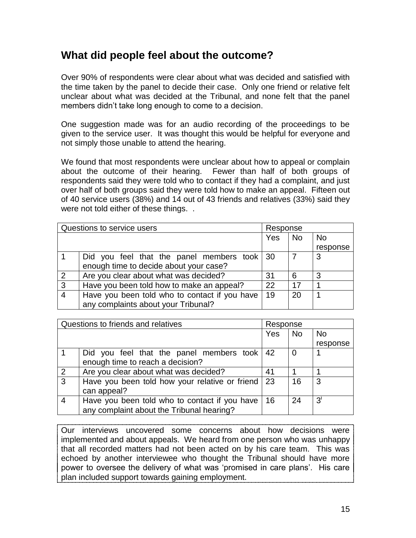# <span id="page-14-0"></span>**What did people feel about the outcome?**

Over 90% of respondents were clear about what was decided and satisfied with the time taken by the panel to decide their case. Only one friend or relative felt unclear about what was decided at the Tribunal, and none felt that the panel members didn"t take long enough to come to a decision.

One suggestion made was for an audio recording of the proceedings to be given to the service user. It was thought this would be helpful for everyone and not simply those unable to attend the hearing.

We found that most respondents were unclear about how to appeal or complain about the outcome of their hearing. Fewer than half of both groups of respondents said they were told who to contact if they had a complaint, and just over half of both groups said they were told how to make an appeal. Fifteen out of 40 service users (38%) and 14 out of 43 friends and relatives (33%) said they were not told either of these things. .

|                | Questions to service users                    | Response |           |           |
|----------------|-----------------------------------------------|----------|-----------|-----------|
|                |                                               | Yes      | <b>No</b> | <b>No</b> |
|                |                                               |          |           | response  |
|                | Did you feel that the panel members took 30   |          |           | 3         |
|                | enough time to decide about your case?        |          |           |           |
| $\overline{2}$ | Are you clear about what was decided?         | 31       | 6         | 3         |
| 3              | Have you been told how to make an appeal?     | 22       | 17        |           |
| $\overline{4}$ | Have you been told who to contact if you have | 19       | 20        |           |
|                | any complaints about your Tribunal?           |          |           |           |

|                | Questions to friends and relatives<br>Response |     |           |           |
|----------------|------------------------------------------------|-----|-----------|-----------|
|                |                                                | Yes | <b>No</b> | <b>No</b> |
|                |                                                |     |           | response  |
|                | Did you feel that the panel members took   42  |     | 0         |           |
|                | enough time to reach a decision?               |     |           |           |
| 2              | Are you clear about what was decided?          | 41  |           |           |
| $\overline{3}$ | Have you been told how your relative or friend | 23  | 16        | 3         |
|                | can appeal?                                    |     |           |           |
| $\overline{4}$ | Have you been told who to contact if you have  | 16  | 24        | 3'        |
|                | any complaint about the Tribunal hearing?      |     |           |           |

Our interviews uncovered some concerns about how decisions were implemented and about appeals. We heard from one person who was unhappy that all recorded matters had not been acted on by his care team. This was echoed by another interviewee who thought the Tribunal should have more power to oversee the delivery of what was "promised in care plans". His care plan included support towards gaining employment.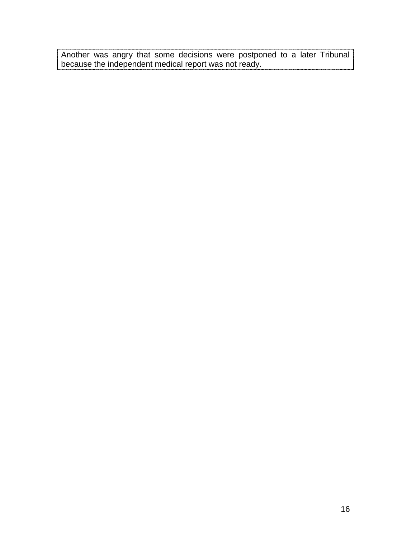Another was angry that some decisions were postponed to a later Tribunal because the independent medical report was not ready.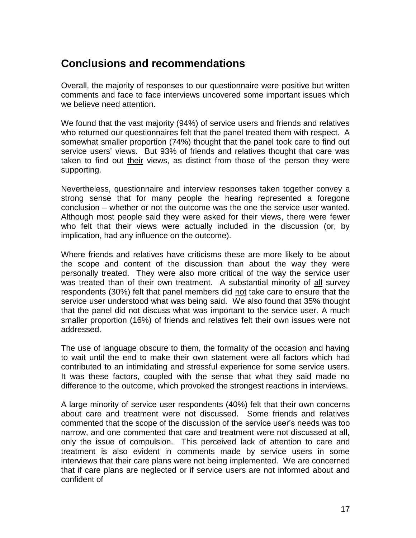# <span id="page-16-0"></span>**Conclusions and recommendations**

Overall, the majority of responses to our questionnaire were positive but written comments and face to face interviews uncovered some important issues which we believe need attention.

We found that the vast majority (94%) of service users and friends and relatives who returned our questionnaires felt that the panel treated them with respect. A somewhat smaller proportion (74%) thought that the panel took care to find out service users" views. But 93% of friends and relatives thought that care was taken to find out their views, as distinct from those of the person they were supporting.

Nevertheless, questionnaire and interview responses taken together convey a strong sense that for many people the hearing represented a foregone conclusion – whether or not the outcome was the one the service user wanted. Although most people said they were asked for their views, there were fewer who felt that their views were actually included in the discussion (or, by implication, had any influence on the outcome).

Where friends and relatives have criticisms these are more likely to be about the scope and content of the discussion than about the way they were personally treated. They were also more critical of the way the service user was treated than of their own treatment. A substantial minority of all survey respondents (30%) felt that panel members did not take care to ensure that the service user understood what was being said. We also found that 35% thought that the panel did not discuss what was important to the service user. A much smaller proportion (16%) of friends and relatives felt their own issues were not addressed.

The use of language obscure to them, the formality of the occasion and having to wait until the end to make their own statement were all factors which had contributed to an intimidating and stressful experience for some service users. It was these factors, coupled with the sense that what they said made no difference to the outcome, which provoked the strongest reactions in interviews.

A large minority of service user respondents (40%) felt that their own concerns about care and treatment were not discussed. Some friends and relatives commented that the scope of the discussion of the service user"s needs was too narrow, and one commented that care and treatment were not discussed at all, only the issue of compulsion. This perceived lack of attention to care and treatment is also evident in comments made by service users in some interviews that their care plans were not being implemented. We are concerned that if care plans are neglected or if service users are not informed about and confident of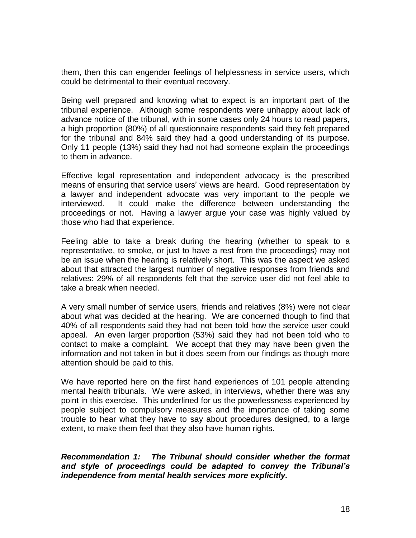them, then this can engender feelings of helplessness in service users, which could be detrimental to their eventual recovery.

Being well prepared and knowing what to expect is an important part of the tribunal experience. Although some respondents were unhappy about lack of advance notice of the tribunal, with in some cases only 24 hours to read papers, a high proportion (80%) of all questionnaire respondents said they felt prepared for the tribunal and 84% said they had a good understanding of its purpose. Only 11 people (13%) said they had not had someone explain the proceedings to them in advance.

Effective legal representation and independent advocacy is the prescribed means of ensuring that service users' views are heard. Good representation by a lawyer and independent advocate was very important to the people we interviewed. It could make the difference between understanding the proceedings or not. Having a lawyer argue your case was highly valued by those who had that experience.

Feeling able to take a break during the hearing (whether to speak to a representative, to smoke, or just to have a rest from the proceedings) may not be an issue when the hearing is relatively short. This was the aspect we asked about that attracted the largest number of negative responses from friends and relatives: 29% of all respondents felt that the service user did not feel able to take a break when needed.

A very small number of service users, friends and relatives (8%) were not clear about what was decided at the hearing. We are concerned though to find that 40% of all respondents said they had not been told how the service user could appeal. An even larger proportion (53%) said they had not been told who to contact to make a complaint. We accept that they may have been given the information and not taken in but it does seem from our findings as though more attention should be paid to this.

We have reported here on the first hand experiences of 101 people attending mental health tribunals. We were asked, in interviews, whether there was any point in this exercise. This underlined for us the powerlessness experienced by people subject to compulsory measures and the importance of taking some trouble to hear what they have to say about procedures designed, to a large extent, to make them feel that they also have human rights.

### *Recommendation 1: The Tribunal should consider whether the format and style of proceedings could be adapted to convey the Tribunal's independence from mental health services more explicitly.*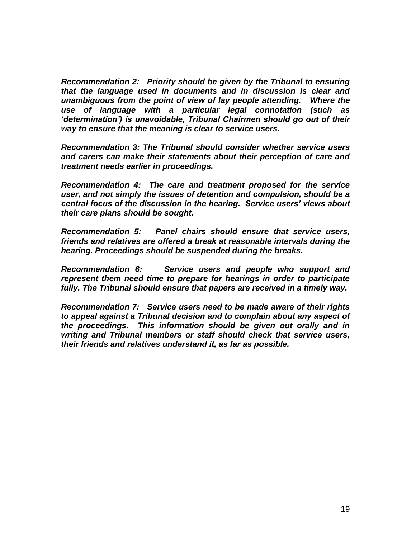*Recommendation 2: Priority should be given by the Tribunal to ensuring that the language used in documents and in discussion is clear and unambiguous from the point of view of lay people attending. Where the use of language with a particular legal connotation (such as 'determination') is unavoidable, Tribunal Chairmen should go out of their way to ensure that the meaning is clear to service users.* 

*Recommendation 3: The Tribunal should consider whether service users and carers can make their statements about their perception of care and treatment needs earlier in proceedings.*

*Recommendation 4: The care and treatment proposed for the service user, and not simply the issues of detention and compulsion, should be a central focus of the discussion in the hearing. Service users' views about their care plans should be sought.* 

*Recommendation 5: Panel chairs should ensure that service users, friends and relatives are offered a break at reasonable intervals during the hearing. Proceedings should be suspended during the breaks.*

*Recommendation 6: Service users and people who support and represent them need time to prepare for hearings in order to participate fully. The Tribunal should ensure that papers are received in a timely way.*

*Recommendation 7: Service users need to be made aware of their rights to appeal against a Tribunal decision and to complain about any aspect of the proceedings. This information should be given out orally and in writing and Tribunal members or staff should check that service users, their friends and relatives understand it, as far as possible.*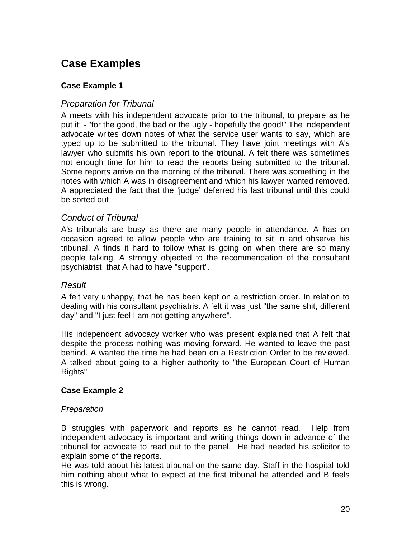# <span id="page-19-0"></span>**Case Examples**

# **Case Example 1**

# *Preparation for Tribunal*

A meets with his independent advocate prior to the tribunal, to prepare as he put it: - "for the good, the bad or the ugly - hopefully the good!" The independent advocate writes down notes of what the service user wants to say, which are typed up to be submitted to the tribunal. They have joint meetings with A's lawyer who submits his own report to the tribunal. A felt there was sometimes not enough time for him to read the reports being submitted to the tribunal. Some reports arrive on the morning of the tribunal. There was something in the notes with which A was in disagreement and which his lawyer wanted removed. A appreciated the fact that the "judge" deferred his last tribunal until this could be sorted out

# *Conduct of Tribunal*

A's tribunals are busy as there are many people in attendance. A has on occasion agreed to allow people who are training to sit in and observe his tribunal. A finds it hard to follow what is going on when there are so many people talking. A strongly objected to the recommendation of the consultant psychiatrist that A had to have "support".

### *Result*

A felt very unhappy, that he has been kept on a restriction order. In relation to dealing with his consultant psychiatrist A felt it was just "the same shit, different day" and "I just feel I am not getting anywhere".

His independent advocacy worker who was present explained that A felt that despite the process nothing was moving forward. He wanted to leave the past behind. A wanted the time he had been on a Restriction Order to be reviewed. A talked about going to a higher authority to "the European Court of Human Rights"

### **Case Example 2**

### *Preparation*

B struggles with paperwork and reports as he cannot read. Help from independent advocacy is important and writing things down in advance of the tribunal for advocate to read out to the panel. He had needed his solicitor to explain some of the reports.

He was told about his latest tribunal on the same day. Staff in the hospital told him nothing about what to expect at the first tribunal he attended and B feels this is wrong.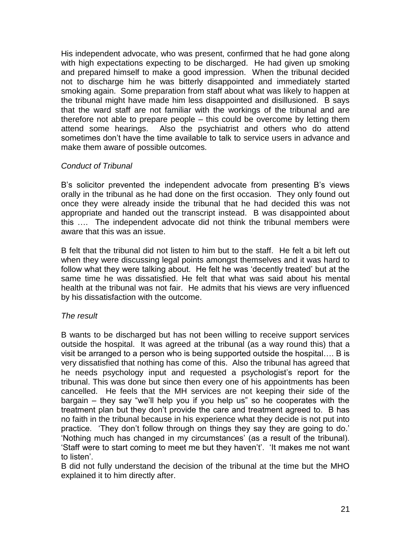His independent advocate, who was present, confirmed that he had gone along with high expectations expecting to be discharged. He had given up smoking and prepared himself to make a good impression. When the tribunal decided not to discharge him he was bitterly disappointed and immediately started smoking again. Some preparation from staff about what was likely to happen at the tribunal might have made him less disappointed and disillusioned. B says that the ward staff are not familiar with the workings of the tribunal and are therefore not able to prepare people – this could be overcome by letting them attend some hearings. Also the psychiatrist and others who do attend sometimes don"t have the time available to talk to service users in advance and make them aware of possible outcomes.

# *Conduct of Tribunal*

B's solicitor prevented the independent advocate from presenting B's views orally in the tribunal as he had done on the first occasion. They only found out once they were already inside the tribunal that he had decided this was not appropriate and handed out the transcript instead. B was disappointed about this …. The independent advocate did not think the tribunal members were aware that this was an issue.

B felt that the tribunal did not listen to him but to the staff. He felt a bit left out when they were discussing legal points amongst themselves and it was hard to follow what they were talking about. He felt he was "decently treated" but at the same time he was dissatisfied. He felt that what was said about his mental health at the tribunal was not fair. He admits that his views are very influenced by his dissatisfaction with the outcome.

### *The result*

B wants to be discharged but has not been willing to receive support services outside the hospital. It was agreed at the tribunal (as a way round this) that a visit be arranged to a person who is being supported outside the hospital…. B is very dissatisfied that nothing has come of this. Also the tribunal has agreed that he needs psychology input and requested a psychologist's report for the tribunal. This was done but since then every one of his appointments has been cancelled. He feels that the MH services are not keeping their side of the bargain – they say "we"ll help you if you help us" so he cooperates with the treatment plan but they don"t provide the care and treatment agreed to. B has no faith in the tribunal because in his experience what they decide is not put into practice. "They don"t follow through on things they say they are going to do." "Nothing much has changed in my circumstances" (as a result of the tribunal). "Staff were to start coming to meet me but they haven't'. "It makes me not want to listen'.

B did not fully understand the decision of the tribunal at the time but the MHO explained it to him directly after.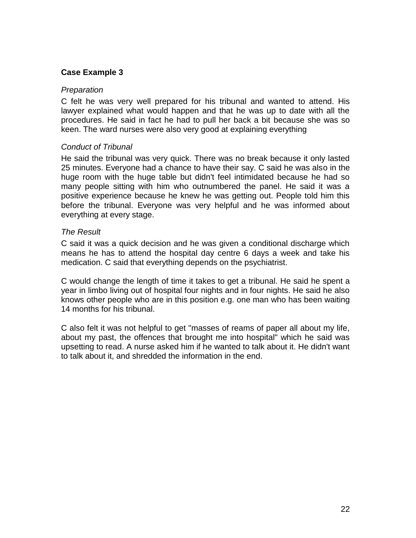# **Case Example 3**

#### *Preparation*

C felt he was very well prepared for his tribunal and wanted to attend. His lawyer explained what would happen and that he was up to date with all the procedures. He said in fact he had to pull her back a bit because she was so keen. The ward nurses were also very good at explaining everything

### *Conduct of Tribunal*

He said the tribunal was very quick. There was no break because it only lasted 25 minutes. Everyone had a chance to have their say. C said he was also in the huge room with the huge table but didn't feel intimidated because he had so many people sitting with him who outnumbered the panel. He said it was a positive experience because he knew he was getting out. People told him this before the tribunal. Everyone was very helpful and he was informed about everything at every stage.

### *The Result*

C said it was a quick decision and he was given a conditional discharge which means he has to attend the hospital day centre 6 days a week and take his medication. C said that everything depends on the psychiatrist.

C would change the length of time it takes to get a tribunal. He said he spent a year in limbo living out of hospital four nights and in four nights. He said he also knows other people who are in this position e.g. one man who has been waiting 14 months for his tribunal.

<span id="page-21-0"></span>C also felt it was not helpful to get "masses of reams of paper all about my life, about my past, the offences that brought me into hospital" which he said was upsetting to read. A nurse asked him if he wanted to talk about it. He didn't want to talk about it, and shredded the information in the end.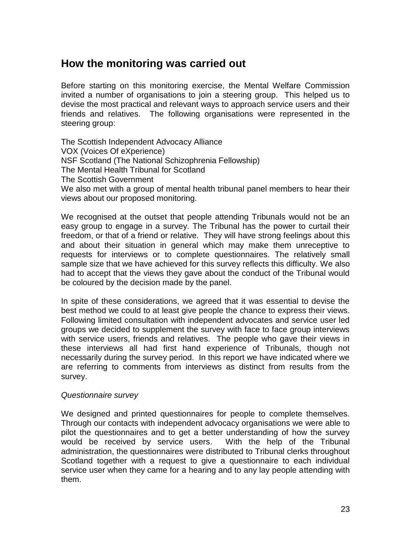# <span id="page-22-0"></span>**How the monitoring was carried out**

Before starting on this monitoring exercise, the Mental Welfare Commission invited a number of organisations to join a steering group. This helped us to devise the most practical and relevant ways to approach service users and their friends and relatives. The following organisations were represented in the steering group:

The Scottish Independent Advocacy Alliance VOX (Voices Of eXperience) NSF Scotland (The National Schizophrenia Fellowship) The Mental Health Tribunal for Scotland The Scottish Government We also met with a group of mental health tribunal panel members to hear their views about our proposed monitoring.

We recognised at the outset that people attending Tribunals would not be an easy group to engage in a survey. The Tribunal has the power to curtail their freedom, or that of a friend or relative. They will have strong feelings about this and about their situation in general which may make them unreceptive to requests for interviews or to complete questionnaires. The relatively small sample size that we have achieved for this survey reflects this difficulty. We also had to accept that the views they gave about the conduct of the Tribunal would be coloured by the decision made by the panel.

In spite of these considerations, we agreed that it was essential to devise the best method we could to at least give people the chance to express their views. Following limited consultation with independent advocates and service user led groups we decided to supplement the survey with face to face group interviews with service users, friends and relatives. The people who gave their views in these interviews all had first hand experience of Tribunals, though not necessarily during the survey period. In this report we have indicated where we are referring to comments from interviews as distinct from results from the survey.

#### *Questionnaire survey*

We designed and printed questionnaires for people to complete themselves. Through our contacts with independent advocacy organisations we were able to pilot the questionnaires and to get a better understanding of how the survey would be received by service users. With the help of the Tribunal administration, the questionnaires were distributed to Tribunal clerks throughout Scotland together with a request to give a questionnaire to each individual service user when they came for a hearing and to any lay people attending with them.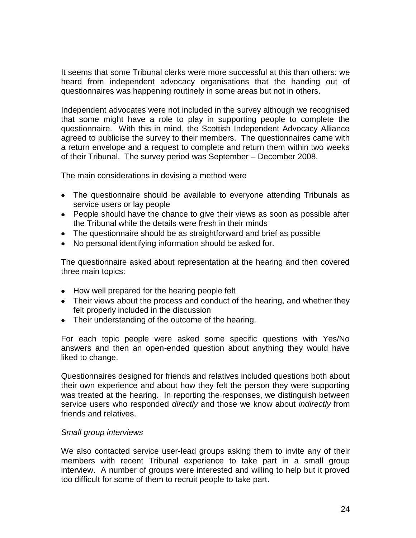It seems that some Tribunal clerks were more successful at this than others: we heard from independent advocacy organisations that the handing out of questionnaires was happening routinely in some areas but not in others.

Independent advocates were not included in the survey although we recognised that some might have a role to play in supporting people to complete the questionnaire. With this in mind, the Scottish Independent Advocacy Alliance agreed to publicise the survey to their members. The questionnaires came with a return envelope and a request to complete and return them within two weeks of their Tribunal. The survey period was September – December 2008.

The main considerations in devising a method were

- The questionnaire should be available to everyone attending Tribunals as service users or lay people
- People should have the chance to give their views as soon as possible after the Tribunal while the details were fresh in their minds
- The questionnaire should be as straightforward and brief as possible
- No personal identifying information should be asked for.

The questionnaire asked about representation at the hearing and then covered three main topics:

- How well prepared for the hearing people felt
- Their views about the process and conduct of the hearing, and whether they felt properly included in the discussion
- Their understanding of the outcome of the hearing.

For each topic people were asked some specific questions with Yes/No answers and then an open-ended question about anything they would have liked to change.

Questionnaires designed for friends and relatives included questions both about their own experience and about how they felt the person they were supporting was treated at the hearing. In reporting the responses, we distinguish between service users who responded *directly* and those we know about *indirectly* from friends and relatives.

### *Small group interviews*

We also contacted service user-lead groups asking them to invite any of their members with recent Tribunal experience to take part in a small group interview. A number of groups were interested and willing to help but it proved too difficult for some of them to recruit people to take part.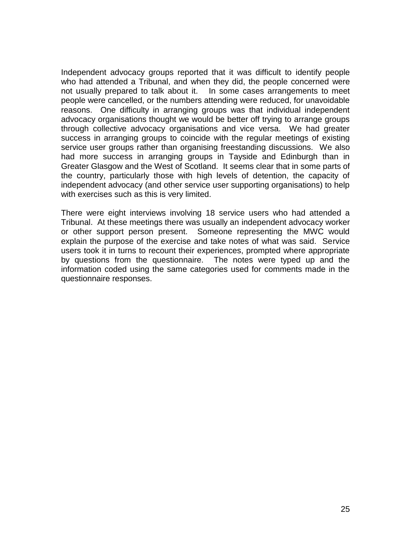Independent advocacy groups reported that it was difficult to identify people who had attended a Tribunal, and when they did, the people concerned were not usually prepared to talk about it. In some cases arrangements to meet people were cancelled, or the numbers attending were reduced, for unavoidable reasons. One difficulty in arranging groups was that individual independent advocacy organisations thought we would be better off trying to arrange groups through collective advocacy organisations and vice versa. We had greater success in arranging groups to coincide with the regular meetings of existing service user groups rather than organising freestanding discussions. We also had more success in arranging groups in Tayside and Edinburgh than in Greater Glasgow and the West of Scotland. It seems clear that in some parts of the country, particularly those with high levels of detention, the capacity of independent advocacy (and other service user supporting organisations) to help with exercises such as this is very limited.

There were eight interviews involving 18 service users who had attended a Tribunal. At these meetings there was usually an independent advocacy worker or other support person present. Someone representing the MWC would explain the purpose of the exercise and take notes of what was said. Service users took it in turns to recount their experiences, prompted where appropriate by questions from the questionnaire. The notes were typed up and the information coded using the same categories used for comments made in the questionnaire responses.